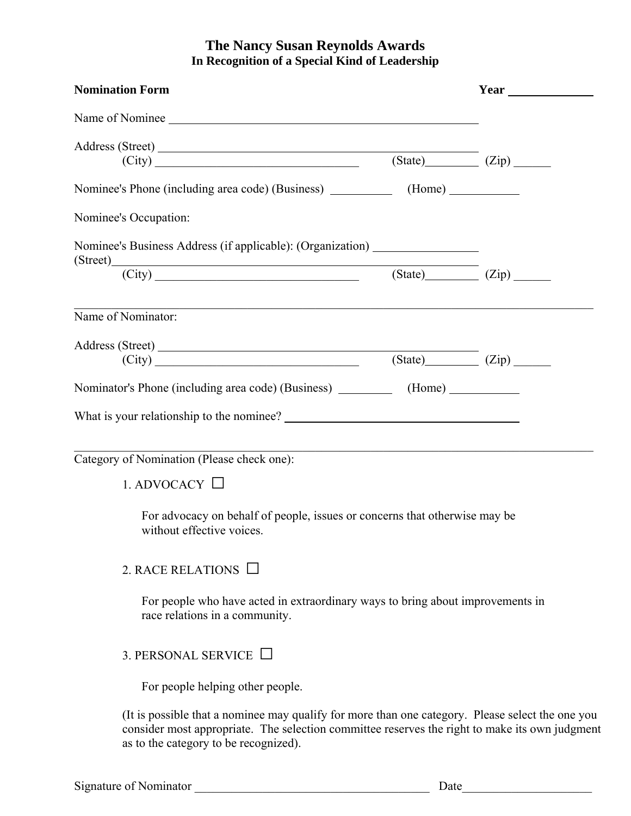## **The Nancy Susan Reynolds Awards In Recognition of a Special Kind of Leadership**

| <b>Nomination Form</b>                                                                                                                                                                                                                      |                                                                                                                       |                   |
|---------------------------------------------------------------------------------------------------------------------------------------------------------------------------------------------------------------------------------------------|-----------------------------------------------------------------------------------------------------------------------|-------------------|
| Name of Nominee                                                                                                                                                                                                                             |                                                                                                                       |                   |
| Address (Street)                                                                                                                                                                                                                            |                                                                                                                       |                   |
| (City)                                                                                                                                                                                                                                      |                                                                                                                       | $(State)$ $(Zip)$ |
|                                                                                                                                                                                                                                             |                                                                                                                       |                   |
| Nominee's Occupation:                                                                                                                                                                                                                       |                                                                                                                       |                   |
| Nominee's Business Address (if applicable): (Organization)                                                                                                                                                                                  |                                                                                                                       |                   |
| $(\text{Street})$ $(\text{City})$ $(\text{City})$ $(\text{State})$ $(\text{State})$ $(\text{Zip})$ $(\text{Zip})$                                                                                                                           |                                                                                                                       |                   |
| Name of Nominator:                                                                                                                                                                                                                          |                                                                                                                       |                   |
| Address (Street)                                                                                                                                                                                                                            |                                                                                                                       |                   |
| $(\text{City})$ $(\text{City})$ $(\text{City})$ $(\text{City})$ $(\text{City})$ $(\text{City})$                                                                                                                                             |                                                                                                                       |                   |
|                                                                                                                                                                                                                                             |                                                                                                                       |                   |
| What is your relationship to the nominee?                                                                                                                                                                                                   |                                                                                                                       |                   |
|                                                                                                                                                                                                                                             |                                                                                                                       |                   |
| Category of Nomination (Please check one):                                                                                                                                                                                                  | <u> 1989 - Johann Stoff, deutscher Stoff, der Stoff, der Stoff, der Stoff, der Stoff, der Stoff, der Stoff, der S</u> |                   |
| 1. ADVOCACY $\Box$                                                                                                                                                                                                                          |                                                                                                                       |                   |
| For advocacy on behalf of people, issues or concerns that otherwise may be<br>without effective voices.                                                                                                                                     |                                                                                                                       |                   |
| 2. RACE RELATIONS $\Box$                                                                                                                                                                                                                    |                                                                                                                       |                   |
| For people who have acted in extraordinary ways to bring about improvements in<br>race relations in a community.                                                                                                                            |                                                                                                                       |                   |
| 3. PERSONAL SERVICE $\Box$                                                                                                                                                                                                                  |                                                                                                                       |                   |
| For people helping other people.                                                                                                                                                                                                            |                                                                                                                       |                   |
| (It is possible that a nominee may qualify for more than one category. Please select the one you<br>consider most appropriate. The selection committee reserves the right to make its own judgment<br>as to the category to be recognized). |                                                                                                                       |                   |